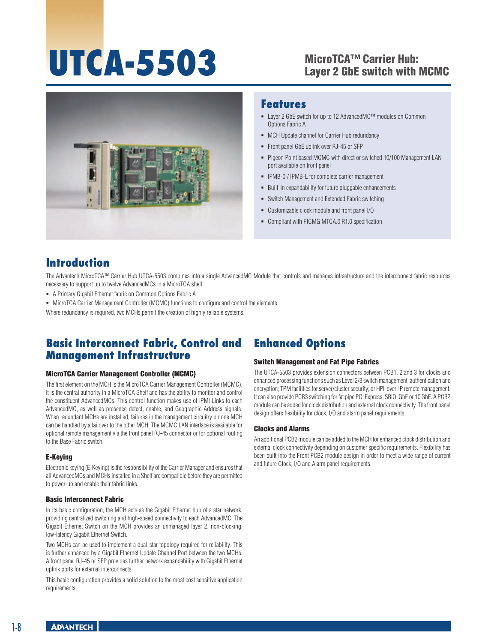# UTCA-5503 MicroTCA™ Carrier Hub:

# Layer 2 GbE switch with MCMC



#### **Features**

- Layer 2 GbE switch for up to 12 AdvancedMC™ modules on Common Options Fabric A
- MCH Update channel for Carrier Hub redundancy
- Front panel GbE uplink over RJ-45 or SFP
- Pigeon Point based MCMC with direct or switched 10/100 Management LAN port available on front panel  $\bullet$
- **IPMB-0 / IPMB-L for complete carrier management**
- Built-in expandability for future pluggable enhancements ۰
- Switch Management and Extended Fabric switching .
- Customizable clock module and front panel I/O ٠
- Compliant with PICMG MTCA.0 R1.0 specification ۰

# **Introduction**

The Advantech MicroTCA™ Carrier Hub UTCA-5503 combines into a single AdvancedMC Module that controls and manages infrastructure and the interconnect fabric resources necessary to support up to twelve AdvancedMCs in a MicroTCA shelf:

- A Primary Gigabit Ethernet fabric on Common Options Fabric A
- MicroTCA Carrier Management Controller (MCMC) functions to configure and control the elements

Where redundancy is required, two MCHs permit the creation of highly reliable systems.

### **Basic Interconnect Fabric, Control and Management Infrastructure**

#### MicroTCA Carrier Management Controller (MCMC)

The first element on the MCH is the MicroTCA Carrier Management Controller (MCMC). It is the central authority in a MicroTCA Shelf and has the ability to monitor and control the constituent AdvancedMCs. This control function makes use of IPMI Links to each AdvancedMC, as well as presence detect, enable, and Geographic Address signals. When redundant MCHs are installed, failures in the management circuitry on one MCH can be handled by a failover to the other MCH. The MCMC LAN interface is available for optional remote management via the front panel RJ-45 connector or for optional routing to the Base Fabric switch.

#### E-Keying

Electronic keying (E-Keying) is the responsibility of the Carrier Manager and ensures that all AdvancedMCs and MCHs installed in a Shelf are compatible before they are permitted to power-up and enable their fabric links.

#### Basic Interconnect Fabric

In its basic configuration, the MCH acts as the Gigabit Ethernet hub of a star network, providing centralized switching and high-speed connectivity to each AdvancedMC. The Gigabit Ethernet Switch on the MCH provides an unmanaged layer 2, non-blocking, low-latency Gigabit Ethernet Switch.

Two MCHs can be used to implement a dual-star topology required for reliability. This is further enhanced by a Gigabit Ethernet Update Channel Port between the two MCHs. A front panel RJ-45 or SFP provides further network expandability with Gigabit Ethernet uplink ports for external interconnects.

This basic configuration provides a solid solution to the most cost sensitive application requirements.

# **Enhanced Options**

#### Switch Management and Fat Pipe Fabrics

The UTCA-5503 provides extension connectors between PCB1, 2 and 3 for clocks and enhanced processing functions such as Level 2/3 switch management, authentication and encryption; TPM facilities for server/cluster security; or HPI-over-IP remote management. It can also provide PCB3 switching for fat pipe PCI Express, SRIO, GbE or 10 GbE. A PCB2 module can be added for clock distribution and external clock connectivity. The front panel design offers flexibility for clock, I/O and alarm panel requirements.

#### Clocks and Alarms

An additional PCB2 module can be added to the MCH for enhanced clock distribution and external clock connectivity depending on customer specific requirements. Flexibility has been built into the Front PCB2 module design in order to meet a wide range of current and future Clock, I/O and Alarm panel requirements.